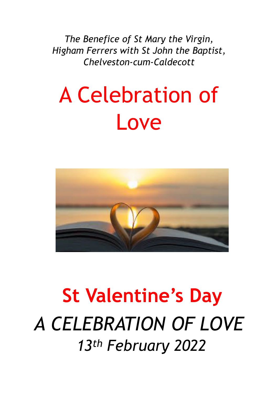*The Benefice of St Mary the Virgin, Higham Ferrers with St John the Baptist, Chelveston-cum-Caldecott*

# A Celebration of Love



## **St Valentine's Day** *A CELEBRATION OF LOVE 13th February 2022*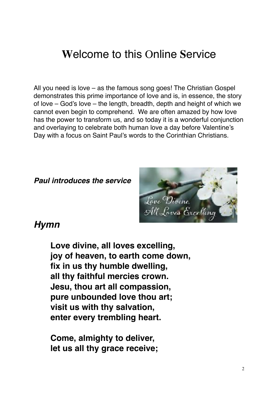## **W**elcome to this Online **S**ervice

All you need is love – as the famous song goes! The Christian Gospel demonstrates this prime importance of love and is, in essence, the story of love – God's love – the length, breadth, depth and height of which we cannot even begin to comprehend. We are often amazed by how love has the power to transform us, and so today it is a wonderful conjunction and overlaying to celebrate both human love a day before Valentine's Day with a focus on Saint Paul's words to the Corinthian Christians.

*Paul introduces the service*



#### *Hymn*

**Love divine, all loves excelling, joy of heaven, to earth come down, fix in us thy humble dwelling, all thy faithful mercies crown. Jesu, thou art all compassion, pure unbounded love thou art; visit us with thy salvation, enter every trembling heart.**

**Come, almighty to deliver, let us all thy grace receive;**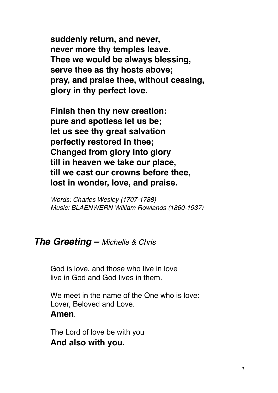**suddenly return, and never, never more thy temples leave. Thee we would be always blessing, serve thee as thy hosts above; pray, and praise thee, without ceasing, glory in thy perfect love.**

**Finish then thy new creation: pure and spotless let us be; let us see thy great salvation perfectly restored in thee; Changed from glory into glory till in heaven we take our place, till we cast our crowns before thee, lost in wonder, love, and praise.**

*Words: Charles Wesley (1707-1788) Music: BLAENWERN William Rowlands (1860-1937)*

#### *The Greeting – Michelle & Chris*

God is love, and those who live in love live in God and God lives in them.

We meet in the name of the One who is love: Lover, Beloved and Love. **Amen**.

The Lord of love be with you **And also with you.**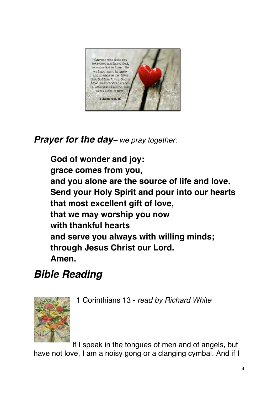

## *Prayer for the day– we pray together:*

**God of wonder and joy: grace comes from you, and you alone are the source of life and love. Send your Holy Spirit and pour into our hearts that most excellent gift of love, that we may worship you now with thankful hearts and serve you always with willing minds; through Jesus Christ our Lord. Amen.**

## *Bible Reading*

1 Corinthians 13 - *read by Richard White*



If I speak in the tongues of men and of angels, but have not love, I am a noisy gong or a clanging cymbal. And if I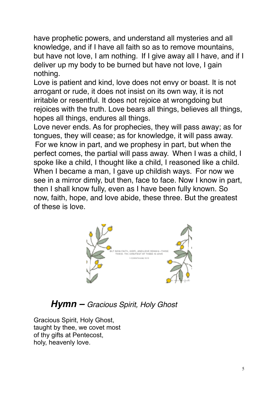have prophetic powers, and understand all mysteries and all knowledge, and if I have all faith so as to remove mountains, but have not love, I am nothing. If I give away all I have, and if I deliver up my body to be burned but have not love, I gain nothing.

Love is patient and kind, love does not envy or boast. It is not arrogant or rude, it does not insist on its own way, it is not irritable or resentful. It does not rejoice at wrongdoing but rejoices with the truth. Love bears all things, believes all things, hopes all things, endures all things.

Love never ends. As for prophecies, they will pass away; as for tongues, they will cease; as for knowledge, it will pass away. For we know in part, and we prophesy in part, but when the perfect comes, the partial will pass away. When I was a child, I spoke like a child, I thought like a child, I reasoned like a child. When I became a man, I gave up childish ways. For now we see in a mirror dimly, but then, face to face. Now I know in part, then I shall know fully, even as I have been fully known. So now, faith, hope, and love abide, these three. But the greatest of these is love.



#### *Hymn – Gracious Spirit, Holy Ghost*

Gracious Spirit, Holy Ghost, taught by thee, we covet most of thy gifts at Pentecost, holy, heavenly love.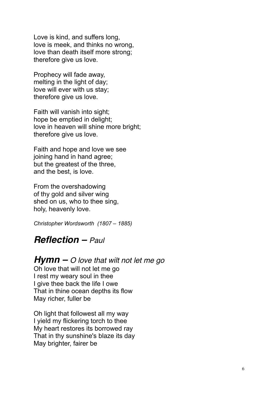Love is kind, and suffers long, love is meek, and thinks no wrong, love than death itself more strong; therefore give us love.

Prophecy will fade away, melting in the light of day; love will ever with us stay; therefore give us love.

Faith will vanish into sight; hope be emptied in delight; love in heaven will shine more bright; therefore give us love.

Faith and hope and love we see joining hand in hand agree; but the greatest of the three, and the best, is love.

From the overshadowing of thy gold and silver wing shed on us, who to thee sing, holy, heavenly love.

*Christopher Wordsworth (1807 – 1885)*

#### *Reflection – Paul*

#### *Hymn – O love that wilt not let me go*

Oh love that will not let me go I rest my weary soul in thee I give thee back the life I owe That in thine ocean depths its flow May richer, fuller be

Oh light that followest all my way I yield my flickering torch to thee My heart restores its borrowed ray That in thy sunshine's blaze its day May brighter, fairer be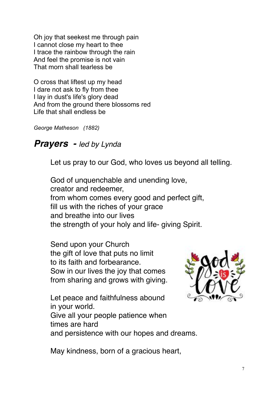Oh joy that seekest me through pain I cannot close my heart to thee I trace the rainbow through the rain And feel the promise is not vain That morn shall tearless be

O cross that liftest up my head I dare not ask to fly from thee I lay in dust's life's glory dead And from the ground there blossoms red Life that shall endless be

*George Matheson (1882)*

#### *Prayers - led by Lynda*

Let us pray to our God, who loves us beyond all telling.

God of unquenchable and unending love, creator and redeemer, from whom comes every good and perfect gift, fill us with the riches of your grace and breathe into our lives the strength of your holy and life- giving Spirit.

Send upon your Church the gift of love that puts no limit to its faith and forbearance. Sow in our lives the joy that comes from sharing and grows with giving.



Let peace and faithfulness abound in your world.

Give all your people patience when times are hard

and persistence with our hopes and dreams.

May kindness, born of a gracious heart,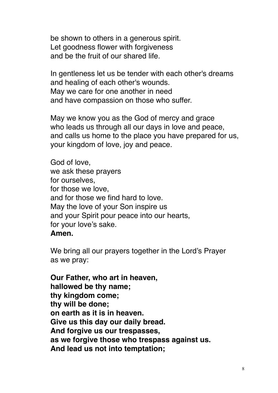be shown to others in a generous spirit. Let goodness flower with forgiveness and be the fruit of our shared life.

In gentleness let us be tender with each other's dreams and healing of each other's wounds. May we care for one another in need and have compassion on those who suffer.

May we know you as the God of mercy and grace who leads us through all our days in love and peace, and calls us home to the place you have prepared for us, your kingdom of love, joy and peace.

God of love, we ask these prayers for ourselves, for those we love, and for those we find hard to love. May the love of your Son inspire us and your Spirit pour peace into our hearts, for your love's sake. **Amen.**

We bring all our prayers together in the Lord's Prayer as we pray:

**Our Father, who art in heaven, hallowed be thy name; thy kingdom come; thy will be done; on earth as it is in heaven. Give us this day our daily bread. And forgive us our trespasses, as we forgive those who trespass against us. And lead us not into temptation;**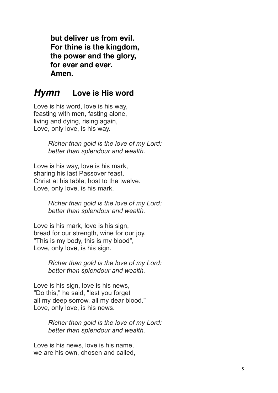**but deliver us from evil. For thine is the kingdom, the power and the glory, for ever and ever. Amen.**

#### *Hymn* **Love is His word**

Love is his word, love is his way, feasting with men, fasting alone, living and dying, rising again, Love, only love, is his way.

> *Richer than gold is the love of my Lord: better than splendour and wealth.*

Love is his way, love is his mark, sharing his last Passover feast, Christ at his table, host to the twelve. Love, only love, is his mark.

> *Richer than gold is the love of my Lord: better than splendour and wealth.*

Love is his mark, love is his sign, bread for our strength, wine for our joy, "This is my body, this is my blood", Love, only love, is his sign.

> *Richer than gold is the love of my Lord: better than splendour and wealth.*

Love is his sign, love is his news, "Do this," he said, "lest you forget all my deep sorrow, all my dear blood." Love, only love, is his news.

> *Richer than gold is the love of my Lord: better than splendour and wealth.*

Love is his news, love is his name, we are his own, chosen and called,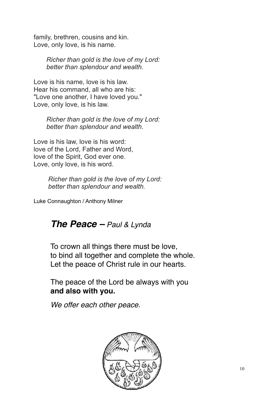family, brethren, cousins and kin. Love, only love, is his name.

> *Richer than gold is the love of my Lord: better than splendour and wealth.*

Love is his name, love is his law. Hear his command, all who are his: "Love one another, I have loved you." Love, only love, is his law.

> *Richer than gold is the love of my Lord: better than splendour and wealth.*

Love is his law, love is his word: love of the Lord, Father and Word, love of the Spirit, God ever one. Love, only love, is his word.

> *Richer than gold is the love of my Lord: better than splendour and wealth.*

Luke Connaughton / Anthony Milner

#### *The Peace – Paul & Lynda*

To crown all things there must be love, to bind all together and complete the whole. Let the peace of Christ rule in our hearts.

The peace of the Lord be always with you **and also with you.**

*We offer each other peace.*

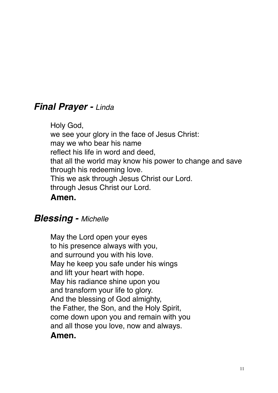#### *Final Prayer - Linda*

Holy God, we see your glory in the face of Jesus Christ: may we who bear his name reflect his life in word and deed, that all the world may know his power to change and save through his redeeming love. This we ask through Jesus Christ our Lord. through Jesus Christ our Lord. **Amen.**

#### *Blessing - Michelle*

May the Lord open your eyes to his presence always with you, and surround you with his love. May he keep you safe under his wings and lift your heart with hope. May his radiance shine upon you and transform your life to glory. And the blessing of God almighty, the Father, the Son, and the Holy Spirit, come down upon you and remain with you and all those you love, now and always. **Amen.**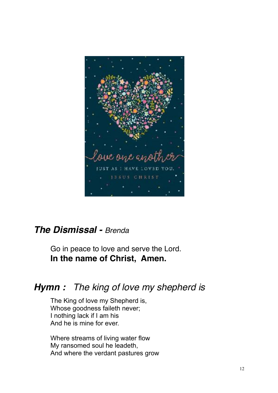

## *The Dismissal - Brenda*

Go in peace to love and serve the Lord. **In the name of Christ, Amen.**

## *Hymn : The king of love my shepherd is*

The King of love my Shepherd is, Whose goodness faileth never; I nothing lack if I am his And he is mine for ever.

Where streams of living water flow My ransomed soul he leadeth, And where the verdant pastures grow